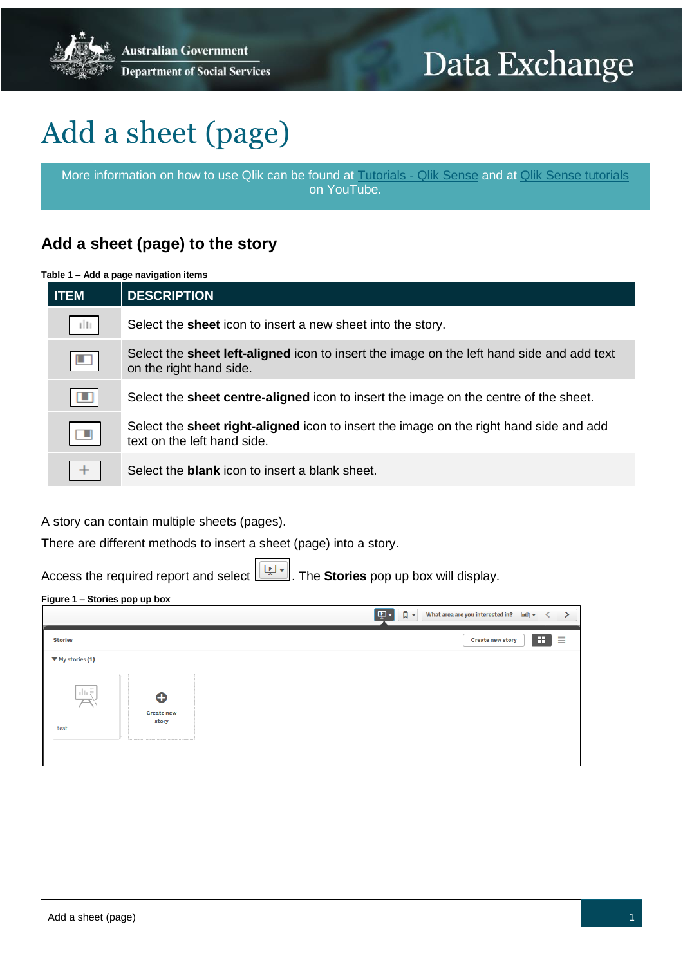# Data Exchange

# Add a sheet (page)

More information on how to use Qlik can be found at [Tutorials -](https://help.qlik.com/en-US/sense/2.2/Content/Tutorials.htm) Qlik Sense and at [Qlik Sense tutorials](http://www.bing.com/videos/search?q=qlik+sense+tutorials+youtube&qpvt=qlik+sense+tutorials+youtube&FORM=VDRE) on YouTube.

## **Add a sheet (page) to the story**

#### **Table 1 – Add a page navigation items**

| <b>ITEM</b>          | <b>DESCRIPTION</b>                                                                                                           |
|----------------------|------------------------------------------------------------------------------------------------------------------------------|
| tШ                   | Select the <b>sheet</b> icon to insert a new sheet into the story.                                                           |
| $\Box$               | Select the <b>sheet left-aligned</b> icon to insert the image on the left hand side and add text<br>on the right hand side.  |
| ш                    | Select the <b>sheet centre-aligned</b> icon to insert the image on the centre of the sheet.                                  |
| $\qquad \qquad \Box$ | Select the <b>sheet right-aligned</b> icon to insert the image on the right hand side and add<br>text on the left hand side. |
|                      | Select the <b>blank</b> icon to insert a blank sheet.                                                                        |

A story can contain multiple sheets (pages).

There are different methods to insert a sheet (page) into a story.

Access the required report and select . The **Stories** pop up box will display.

#### **Figure 1 – Stories pop up box**

|                                                                                    | ঢ়ে√<br>$\Box$<br>What area are you interested in?<br>画▼ |
|------------------------------------------------------------------------------------|----------------------------------------------------------|
| <b>Stories</b>                                                                     | æ.<br>≣<br><b>Create new story</b>                       |
| $\Psi$ My stories (1)                                                              |                                                          |
| $\prod_{i\in I} \frac{\mathbb{Z}}{n_i}$<br>⊕<br><b>Create new</b><br>story<br>test |                                                          |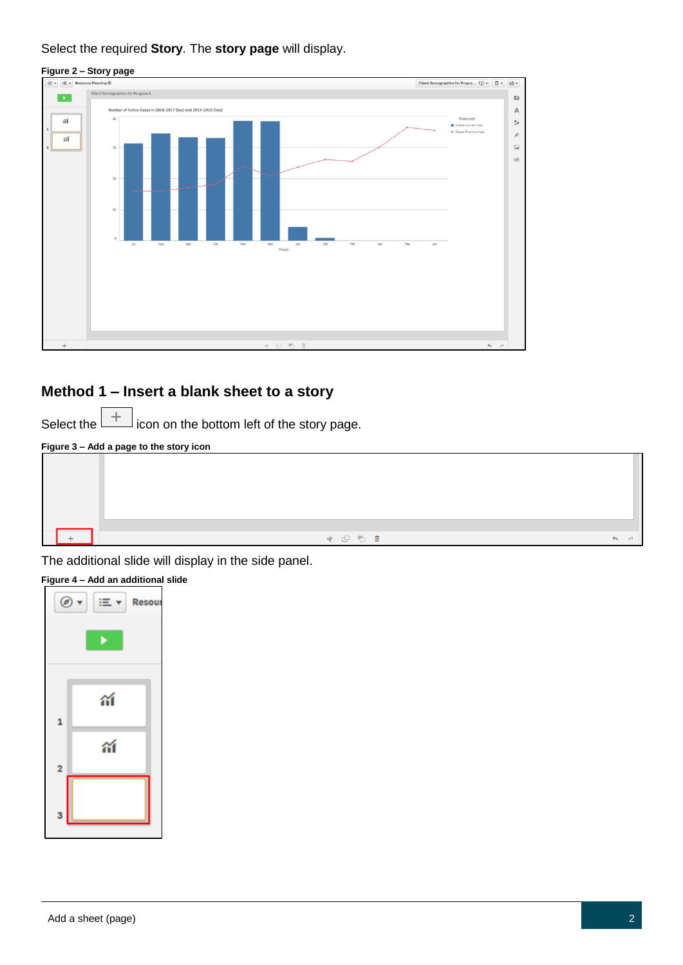#### Select the required **Story**. The **story page** will display.



### **Method 1 – Insert a blank sheet to a story**

Select the  $\lfloor + \rfloor$  icon on the bottom left of the story page.

#### **Figure 3 – Add a page to the story icon**



The additional slide will display in the side panel.

### **Figure 4 – Add an additional slide**

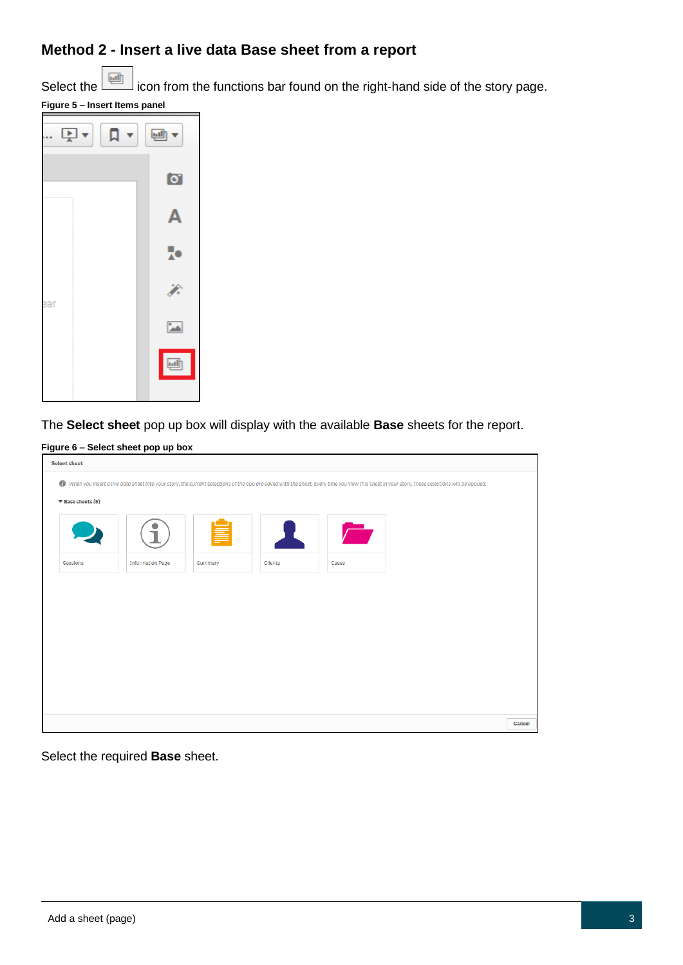## **Method 2 - Insert a live data Base sheet from a report**

Select the incon from the functions bar found on the right-hand side of the story page.





The **Select sheet** pop up box will display with the available **Base** sheets for the report.

**Figure 6 – Select sheet pop up box**

| <b>Select sheet</b>                  |                         |         |                |            |                                                                                                                                                                                                  |        |
|--------------------------------------|-------------------------|---------|----------------|------------|--------------------------------------------------------------------------------------------------------------------------------------------------------------------------------------------------|--------|
|                                      |                         |         |                |            | ↑ When you insert a live data sheet into your story, the current selections of the app are saved with the sheet. Every time you view this sheet in your story, these selections will be applied. |        |
| $\blacktriangledown$ Base sheets (5) |                         |         |                |            |                                                                                                                                                                                                  |        |
|                                      |                         |         | ш              | $\sqrt{2}$ |                                                                                                                                                                                                  |        |
| Sessions                             | <b>Information Page</b> | Summary | <b>Clients</b> | Cases      |                                                                                                                                                                                                  |        |
|                                      |                         |         |                |            |                                                                                                                                                                                                  |        |
|                                      |                         |         |                |            |                                                                                                                                                                                                  |        |
|                                      |                         |         |                |            |                                                                                                                                                                                                  |        |
|                                      |                         |         |                |            |                                                                                                                                                                                                  |        |
|                                      |                         |         |                |            |                                                                                                                                                                                                  |        |
|                                      |                         |         |                |            |                                                                                                                                                                                                  |        |
|                                      |                         |         |                |            |                                                                                                                                                                                                  | Cancel |

Select the required **Base** sheet.